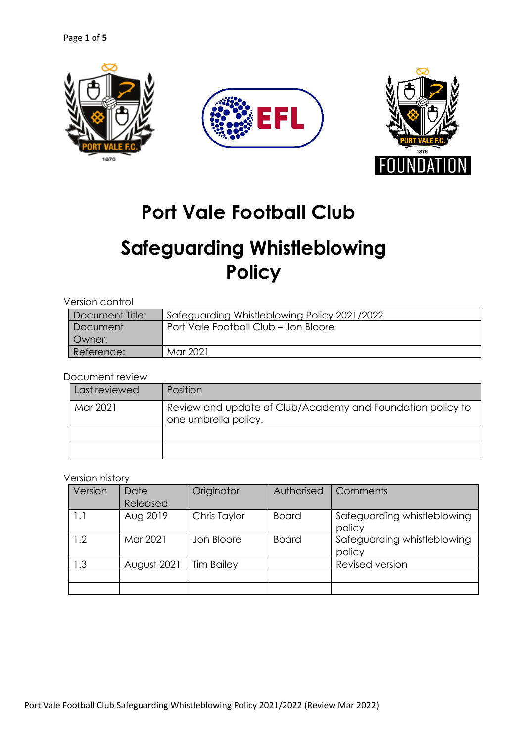

## **Port Vale Football Club**

# **Safeguarding Whistleblowing Policy**

| Version control |                                              |  |  |  |
|-----------------|----------------------------------------------|--|--|--|
| Document Title: | Safeguarding Whistleblowing Policy 2021/2022 |  |  |  |
| Document        | Port Vale Football Club - Jon Bloore         |  |  |  |
| Owner:          |                                              |  |  |  |
| Reference:      | Mar 2021                                     |  |  |  |

Document review

| Last reviewed | Position                                                                           |
|---------------|------------------------------------------------------------------------------------|
| Mar 2021      | Review and update of Club/Academy and Foundation policy to<br>one umbrella policy. |
|               |                                                                                    |
|               |                                                                                    |

## Version history

| Version | Date<br>Released | Originator        | Authorised   | Comments                              |
|---------|------------------|-------------------|--------------|---------------------------------------|
| 1.1     | Aug 2019         | Chris Taylor      | <b>Board</b> | Safeguarding whistleblowing<br>policy |
| 1.2     | Mar 2021         | Jon Bloore        | Board        | Safeguarding whistleblowing<br>policy |
| 1.3     | August 2021      | <b>Tim Bailey</b> |              | Revised version                       |
|         |                  |                   |              |                                       |
|         |                  |                   |              |                                       |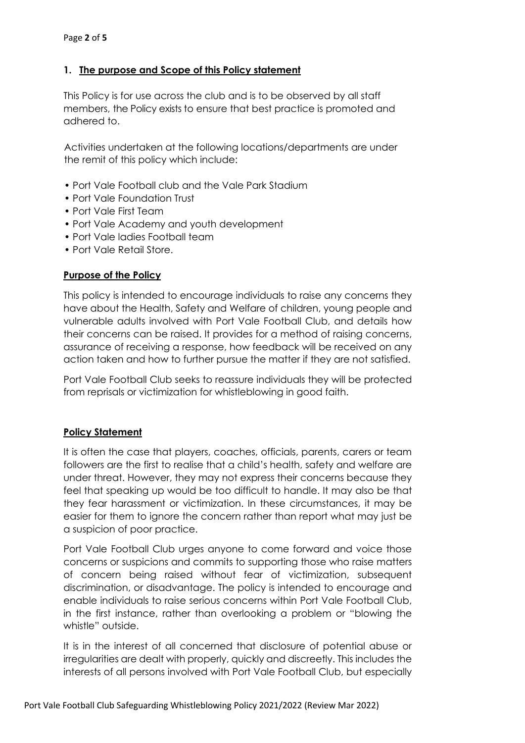## **1. The purpose and Scope of this Policy statement**

This Policy is for use across the club and is to be observed by all staff members, the Policy exists to ensure that best practice is promoted and adhered to.

Activities undertaken at the following locations/departments are under the remit of this policy which include:

- Port Vale Football club and the Vale Park Stadium
- Port Vale Foundation Trust
- Port Vale First Team
- Port Vale Academy and youth development
- Port Vale ladies Football team
- Port Vale Retail Store.

## **Purpose of the Policy**

This policy is intended to encourage individuals to raise any concerns they have about the Health, Safety and Welfare of children, young people and vulnerable adults involved with Port Vale Football Club, and details how their concerns can be raised. It provides for a method of raising concerns, assurance of receiving a response, how feedback will be received on any action taken and how to further pursue the matter if they are not satisfied.

Port Vale Football Club seeks to reassure individuals they will be protected from reprisals or victimization for whistleblowing in good faith.

## **Policy Statement**

It is often the case that players, coaches, officials, parents, carers or team followers are the first to realise that a child's health, safety and welfare are under threat. However, they may not express their concerns because they feel that speaking up would be too difficult to handle. It may also be that they fear harassment or victimization. In these circumstances, it may be easier for them to ignore the concern rather than report what may just be a suspicion of poor practice.

Port Vale Football Club urges anyone to come forward and voice those concerns or suspicions and commits to supporting those who raise matters of concern being raised without fear of victimization, subsequent discrimination, or disadvantage. The policy is intended to encourage and enable individuals to raise serious concerns within Port Vale Football Club, in the first instance, rather than overlooking a problem or "blowing the whistle" outside.

It is in the interest of all concerned that disclosure of potential abuse or irregularities are dealt with properly, quickly and discreetly. This includes the interests of all persons involved with Port Vale Football Club, but especially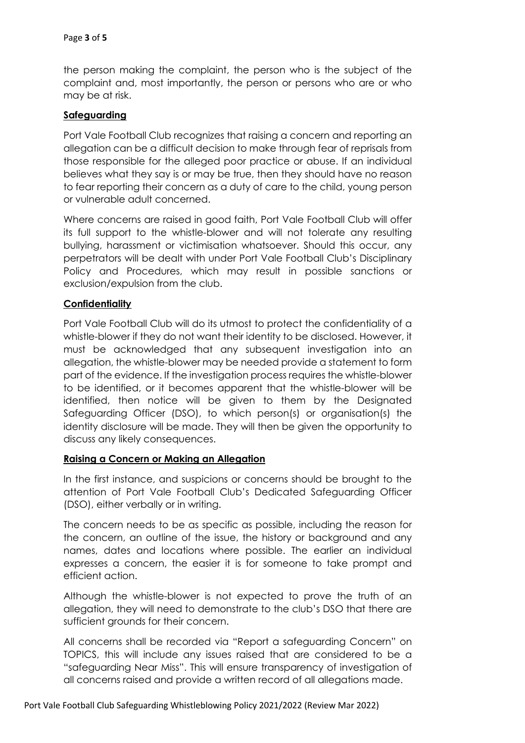the person making the complaint, the person who is the subject of the complaint and, most importantly, the person or persons who are or who may be at risk.

#### **Safeguarding**

Port Vale Football Club recognizes that raising a concern and reporting an allegation can be a difficult decision to make through fear of reprisals from those responsible for the alleged poor practice or abuse. If an individual believes what they say is or may be true, then they should have no reason to fear reporting their concern as a duty of care to the child, young person or vulnerable adult concerned.

Where concerns are raised in good faith, Port Vale Football Club will offer its full support to the whistle-blower and will not tolerate any resulting bullying, harassment or victimisation whatsoever. Should this occur, any perpetrators will be dealt with under Port Vale Football Club's Disciplinary Policy and Procedures, which may result in possible sanctions or exclusion/expulsion from the club.

#### **Confidentiality**

Port Vale Football Club will do its utmost to protect the confidentiality of a whistle-blower if they do not want their identity to be disclosed. However, it must be acknowledged that any subsequent investigation into an allegation, the whistle-blower may be needed provide a statement to form part of the evidence. If the investigation process requires the whistle-blower to be identified, or it becomes apparent that the whistle-blower will be identified, then notice will be given to them by the Designated Safeguarding Officer (DSO), to which person(s) or organisation(s) the identity disclosure will be made. They will then be given the opportunity to discuss any likely consequences.

#### **Raising a Concern or Making an Allegation**

In the first instance, and suspicions or concerns should be brought to the attention of Port Vale Football Club's Dedicated Safeguarding Officer (DSO), either verbally or in writing.

The concern needs to be as specific as possible, including the reason for the concern, an outline of the issue, the history or background and any names, dates and locations where possible. The earlier an individual expresses a concern, the easier it is for someone to take prompt and efficient action.

Although the whistle-blower is not expected to prove the truth of an allegation, they will need to demonstrate to the club's DSO that there are sufficient grounds for their concern.

All concerns shall be recorded via "Report a safeguarding Concern" on TOPICS, this will include any issues raised that are considered to be a "safeguarding Near Miss". This will ensure transparency of investigation of all concerns raised and provide a written record of all allegations made.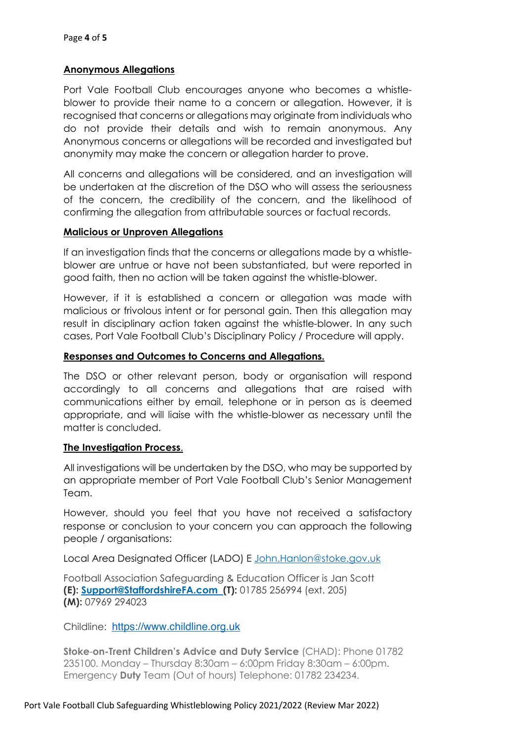## **Anonymous Allegations**

Port Vale Football Club encourages anyone who becomes a whistleblower to provide their name to a concern or allegation. However, it is recognised that concerns or allegations may originate from individuals who do not provide their details and wish to remain anonymous. Any Anonymous concerns or allegations will be recorded and investigated but anonymity may make the concern or allegation harder to prove.

All concerns and allegations will be considered, and an investigation will be undertaken at the discretion of the DSO who will assess the seriousness of the concern, the credibility of the concern, and the likelihood of confirming the allegation from attributable sources or factual records.

#### **Malicious or Unproven Allegations**

If an investigation finds that the concerns or allegations made by a whistleblower are untrue or have not been substantiated, but were reported in good faith, then no action will be taken against the whistle-blower.

However, if it is established a concern or allegation was made with malicious or frivolous intent or for personal gain. Then this allegation may result in disciplinary action taken against the whistle-blower. In any such cases, Port Vale Football Club's Disciplinary Policy / Procedure will apply.

#### **Responses and Outcomes to Concerns and Allegations.**

The DSO or other relevant person, body or organisation will respond accordingly to all concerns and allegations that are raised with communications either by email, telephone or in person as is deemed appropriate, and will liaise with the whistle-blower as necessary until the matter is concluded.

#### **The Investigation Process**.

All investigations will be undertaken by the DSO, who may be supported by an appropriate member of Port Vale Football Club's Senior Management Team.

However, should you feel that you have not received a satisfactory response or conclusion to your concern you can approach the following people / organisations:

Local Area Designated Officer (LADO) E John.Hanlon@stoke.gov.uk

Football Association Safeguarding & Education Officer is Jan Scott **(E): Support@StaffordshireFA.com (T):** 01785 256994 (ext. 205) **(M):** 07969 294023

Childline: https://www.childline.org.uk

**Stoke**-**on-Trent Children's Advice and Duty Service** (CHAD): Phone 01782 235100. Monday – Thursday 8:30am – 6:00pm Friday 8:30am – 6:00pm. Emergency **Duty** Team (Out of hours) Telephone: 01782 234234.